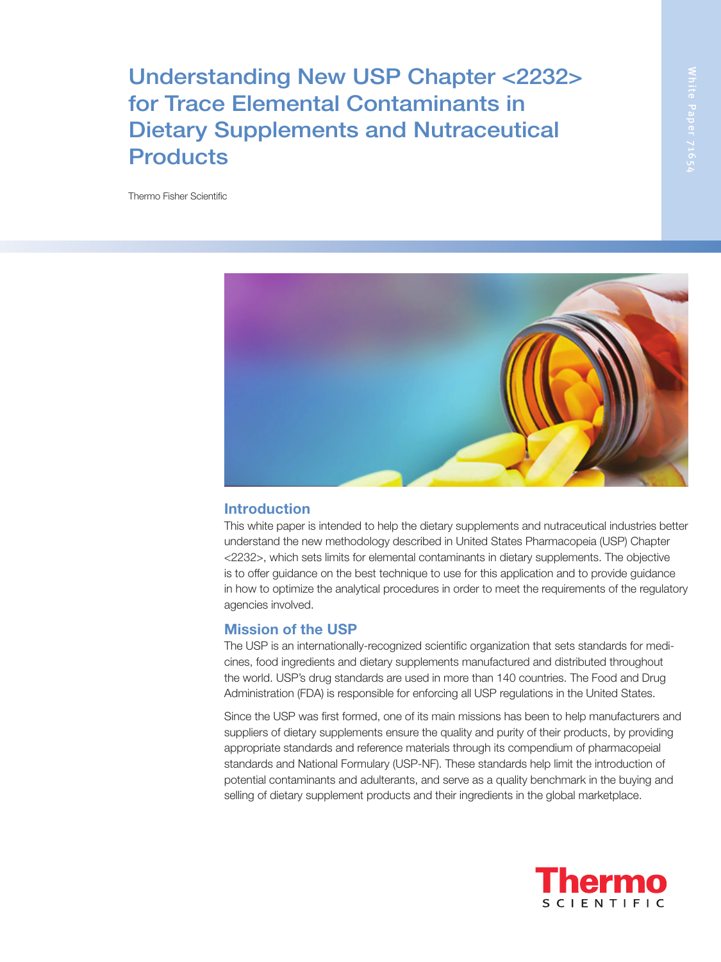Understanding New USP Chapter <2232> for Trace Elemental Contaminants in Dietary Supplements and Nutraceutical **Products** 

Thermo Fisher Scientific



# Introduction

This white paper is intended to help the dietary supplements and nutraceutical industries better understand the new methodology described in United States Pharmacopeia (USP) Chapter <2232>, which sets limits for elemental contaminants in dietary supplements. The objective is to offer guidance on the best technique to use for this application and to provide guidance in how to optimize the analytical procedures in order to meet the requirements of the regulatory agencies involved.

# Mission of the USP

The USP is an internationally-recognized scientific organization that sets standards for medicines, food ingredients and dietary supplements manufactured and distributed throughout the world. USP's drug standards are used in more than 140 countries. The Food and Drug Administration (FDA) is responsible for enforcing all USP regulations in the United States.

Since the USP was first formed, one of its main missions has been to help manufacturers and suppliers of dietary supplements ensure the quality and purity of their products, by providing appropriate standards and reference materials through its compendium of pharmacopeial standards and National Formulary (USP-NF). These standards help limit the introduction of potential contaminants and adulterants, and serve as a quality benchmark in the buying and selling of dietary supplement products and their ingredients in the global marketplace.

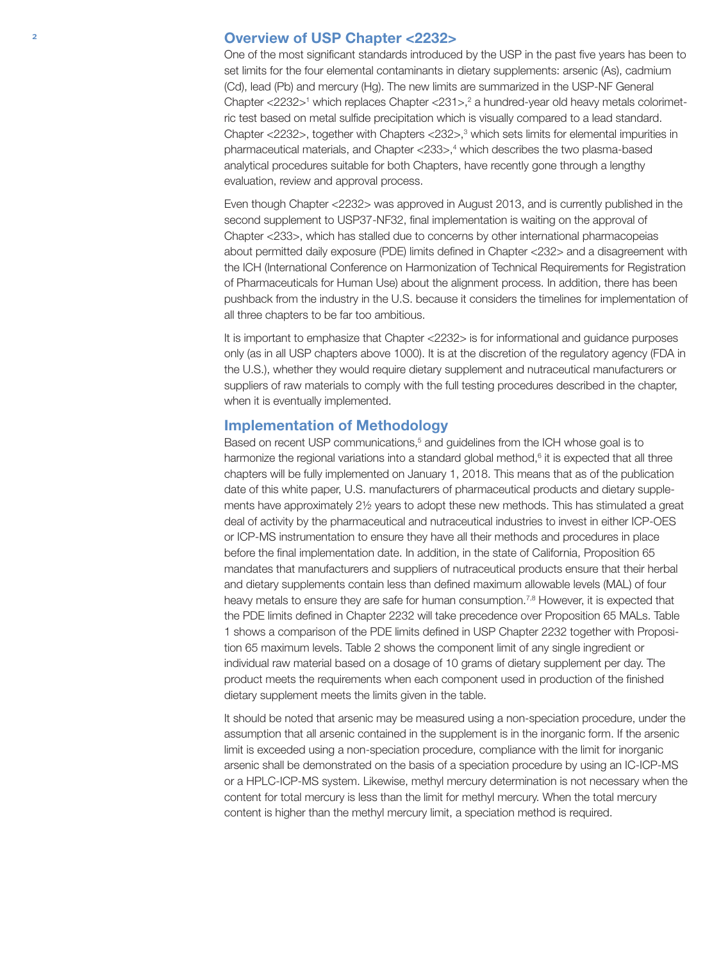### <sup>2</sup> Overview of USP Chapter <2232>

One of the most significant standards introduced by the USP in the past five years has been to set limits for the four elemental contaminants in dietary supplements: arsenic (As), cadmium (Cd), lead (Pb) and mercury (Hg). The new limits are summarized in the USP-NF General Chapter <2232><sup>1</sup> which replaces Chapter <231>,<sup>2</sup> a hundred-year old heavy metals colorimetric test based on metal sulfide precipitation which is visually compared to a lead standard. Chapter  $\langle 2232 \rangle$ , together with Chapters  $\langle 232 \rangle$ ,<sup>3</sup> which sets limits for elemental impurities in pharmaceutical materials, and Chapter <233>,<sup>4</sup> which describes the two plasma-based analytical procedures suitable for both Chapters, have recently gone through a lengthy evaluation, review and approval process.

Even though Chapter <2232> was approved in August 2013, and is currently published in the second supplement to USP37-NF32, final implementation is waiting on the approval of Chapter <233>, which has stalled due to concerns by other international pharmacopeias about permitted daily exposure (PDE) limits defined in Chapter <232> and a disagreement with the ICH (International Conference on Harmonization of Technical Requirements for Registration of Pharmaceuticals for Human Use) about the alignment process. In addition, there has been pushback from the industry in the U.S. because it considers the timelines for implementation of all three chapters to be far too ambitious.

It is important to emphasize that Chapter <2232> is for informational and guidance purposes only (as in all USP chapters above 1000). It is at the discretion of the regulatory agency (FDA in the U.S.), whether they would require dietary supplement and nutraceutical manufacturers or suppliers of raw materials to comply with the full testing procedures described in the chapter, when it is eventually implemented.

# Implementation of Methodology

Based on recent USP communications,<sup>5</sup> and guidelines from the ICH whose goal is to harmonize the regional variations into a standard global method, $6$  it is expected that all three chapters will be fully implemented on January 1, 2018. This means that as of the publication date of this white paper, U.S. manufacturers of pharmaceutical products and dietary supplements have approximately 2½ years to adopt these new methods. This has stimulated a great deal of activity by the pharmaceutical and nutraceutical industries to invest in either ICP-OES or ICP-MS instrumentation to ensure they have all their methods and procedures in place before the final implementation date. In addition, in the state of California, Proposition 65 mandates that manufacturers and suppliers of nutraceutical products ensure that their herbal and dietary supplements contain less than defined maximum allowable levels (MAL) of four heavy metals to ensure they are safe for human consumption.<sup>7,8</sup> However, it is expected that the PDE limits defined in Chapter 2232 will take precedence over Proposition 65 MALs. Table 1 shows a comparison of the PDE limits defined in USP Chapter 2232 together with Proposition 65 maximum levels. Table 2 shows the component limit of any single ingredient or individual raw material based on a dosage of 10 grams of dietary supplement per day. The product meets the requirements when each component used in production of the finished dietary supplement meets the limits given in the table.

It should be noted that arsenic may be measured using a non-speciation procedure, under the assumption that all arsenic contained in the supplement is in the inorganic form. If the arsenic limit is exceeded using a non-speciation procedure, compliance with the limit for inorganic arsenic shall be demonstrated on the basis of a speciation procedure by using an IC-ICP-MS or a HPLC-ICP-MS system. Likewise, methyl mercury determination is not necessary when the content for total mercury is less than the limit for methyl mercury. When the total mercury content is higher than the methyl mercury limit, a speciation method is required.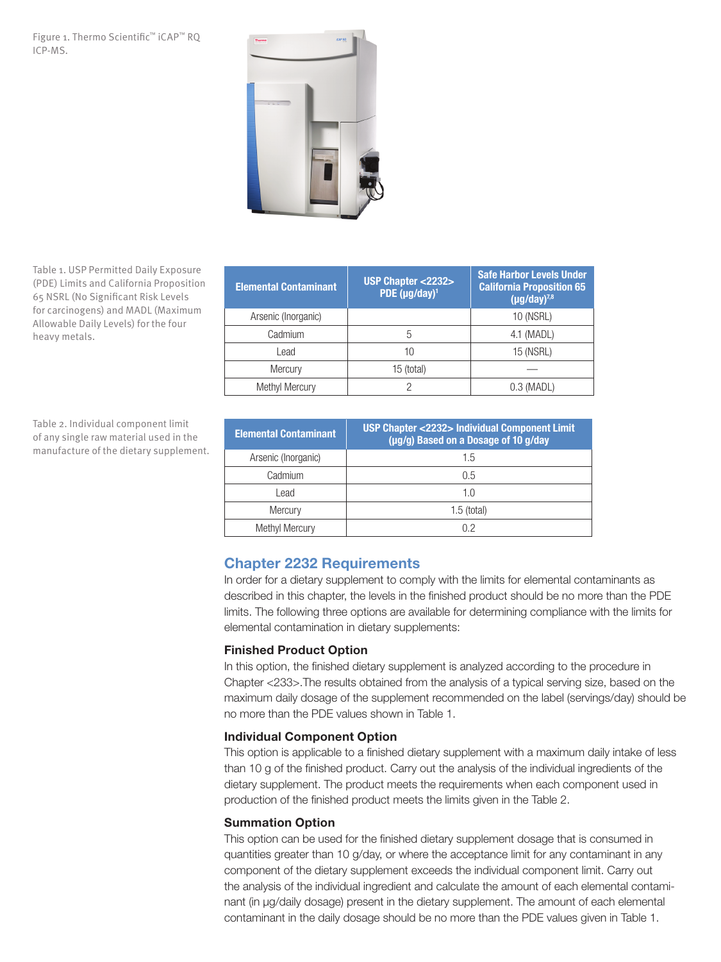#### Figure 1. Thermo Scientific™ iCAP™ RQ ICP-MS.



Table 1. USP Permitted Daily Exposure (PDE) Limits and California Proposition 65 NSRL (No Significant Risk Levels for carcinogens) and MADL (Maximum Allowable Daily Levels) for the four heavy metals.

| <b>Elemental Contaminant</b> | <b>USP Chapter &lt;2232&gt;</b><br>PDE (µg/day) <sup>1</sup> | <b>Safe Harbor Levels Under</b><br><b>California Proposition 65</b><br>$(\mu g/day)^{7,8}$ |
|------------------------------|--------------------------------------------------------------|--------------------------------------------------------------------------------------------|
| Arsenic (Inorganic)          |                                                              | 10 (NSRL)                                                                                  |
| Cadmium                      | 5                                                            | 4.1 (MADL)                                                                                 |
| Lead                         | 10                                                           | 15 (NSRL)                                                                                  |
| Mercury                      | 15 (total)                                                   |                                                                                            |
| <b>Methyl Mercury</b>        | っ                                                            | $0.3$ (MADL)                                                                               |

Table 2. Individual component limit of any single raw material used in the manufacture of the dietary supplement.

| <b>Elemental Contaminant</b> | <b>USP Chapter &lt;2232&gt; Individual Component Limit</b><br>(µg/g) Based on a Dosage of 10 g/day |
|------------------------------|----------------------------------------------------------------------------------------------------|
| Arsenic (Inorganic)          | 1.5                                                                                                |
| Cadmium                      | 0.5                                                                                                |
| Lead                         | 1.0                                                                                                |
| Mercury                      | $1.5$ (total)                                                                                      |
| <b>Methyl Mercury</b>        | በ 2                                                                                                |

# Chapter 2232 Requirements

In order for a dietary supplement to comply with the limits for elemental contaminants as described in this chapter, the levels in the finished product should be no more than the PDE limits. The following three options are available for determining compliance with the limits for elemental contamination in dietary supplements:

# Finished Product Option

In this option, the finished dietary supplement is analyzed according to the procedure in Chapter <233>.The results obtained from the analysis of a typical serving size, based on the maximum daily dosage of the supplement recommended on the label (servings/day) should be no more than the PDE values shown in Table 1.

## Individual Component Option

This option is applicable to a finished dietary supplement with a maximum daily intake of less than 10 g of the finished product. Carry out the analysis of the individual ingredients of the dietary supplement. The product meets the requirements when each component used in production of the finished product meets the limits given in the Table 2.

## Summation Option

This option can be used for the finished dietary supplement dosage that is consumed in quantities greater than 10 g/day, or where the acceptance limit for any contaminant in any component of the dietary supplement exceeds the individual component limit. Carry out the analysis of the individual ingredient and calculate the amount of each elemental contaminant (in µg/daily dosage) present in the dietary supplement. The amount of each elemental contaminant in the daily dosage should be no more than the PDE values given in Table 1.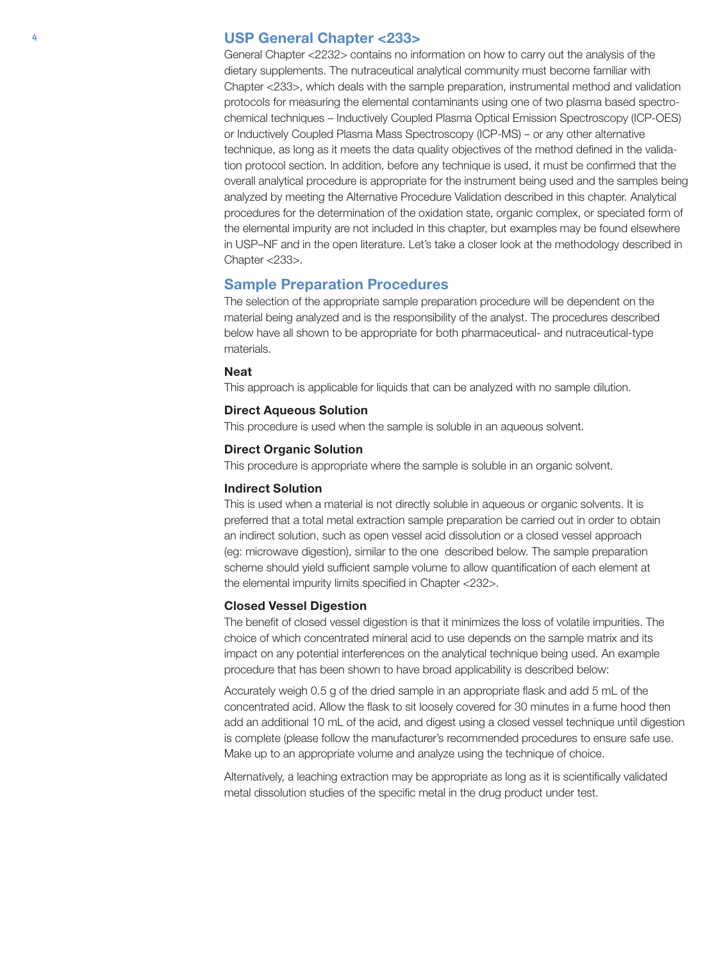### <sup>4</sup> USP General Chapter <233>

General Chapter <2232> contains no information on how to carry out the analysis of the dietary supplements. The nutraceutical analytical community must become familiar with Chapter <233>, which deals with the sample preparation, instrumental method and validation protocols for measuring the elemental contaminants using one of two plasma based spectrochemical techniques – Inductively Coupled Plasma Optical Emission Spectroscopy (ICP-OES) or Inductively Coupled Plasma Mass Spectroscopy (ICP-MS) – or any other alternative technique, as long as it meets the data quality objectives of the method defined in the validation protocol section. In addition, before any technique is used, it must be confirmed that the overall analytical procedure is appropriate for the instrument being used and the samples being analyzed by meeting the Alternative Procedure Validation described in this chapter. Analytical procedures for the determination of the oxidation state, organic complex, or speciated form of the elemental impurity are not included in this chapter, but examples may be found elsewhere in USP–NF and in the open literature. Let's take a closer look at the methodology described in Chapter <233>.

#### Sample Preparation Procedures

The selection of the appropriate sample preparation procedure will be dependent on the material being analyzed and is the responsibility of the analyst. The procedures described below have all shown to be appropriate for both pharmaceutical- and nutraceutical-type materials.

#### Neat

This approach is applicable for liquids that can be analyzed with no sample dilution.

#### Direct Aqueous Solution

This procedure is used when the sample is soluble in an aqueous solvent.

#### Direct Organic Solution

This procedure is appropriate where the sample is soluble in an organic solvent.

#### Indirect Solution

This is used when a material is not directly soluble in aqueous or organic solvents. It is preferred that a total metal extraction sample preparation be carried out in order to obtain an indirect solution, such as open vessel acid dissolution or a closed vessel approach (eg: microwave digestion), similar to the one described below. The sample preparation scheme should yield sufficient sample volume to allow quantification of each element at the elemental impurity limits specified in Chapter <232>.

#### Closed Vessel Digestion

The benefit of closed vessel digestion is that it minimizes the loss of volatile impurities. The choice of which concentrated mineral acid to use depends on the sample matrix and its impact on any potential interferences on the analytical technique being used. An example procedure that has been shown to have broad applicability is described below:

Accurately weigh 0.5 g of the dried sample in an appropriate flask and add 5 mL of the concentrated acid. Allow the flask to sit loosely covered for 30 minutes in a fume hood then add an additional 10 mL of the acid, and digest using a closed vessel technique until digestion is complete (please follow the manufacturer's recommended procedures to ensure safe use. Make up to an appropriate volume and analyze using the technique of choice.

Alternatively, a leaching extraction may be appropriate as long as it is scientifically validated metal dissolution studies of the specific metal in the drug product under test.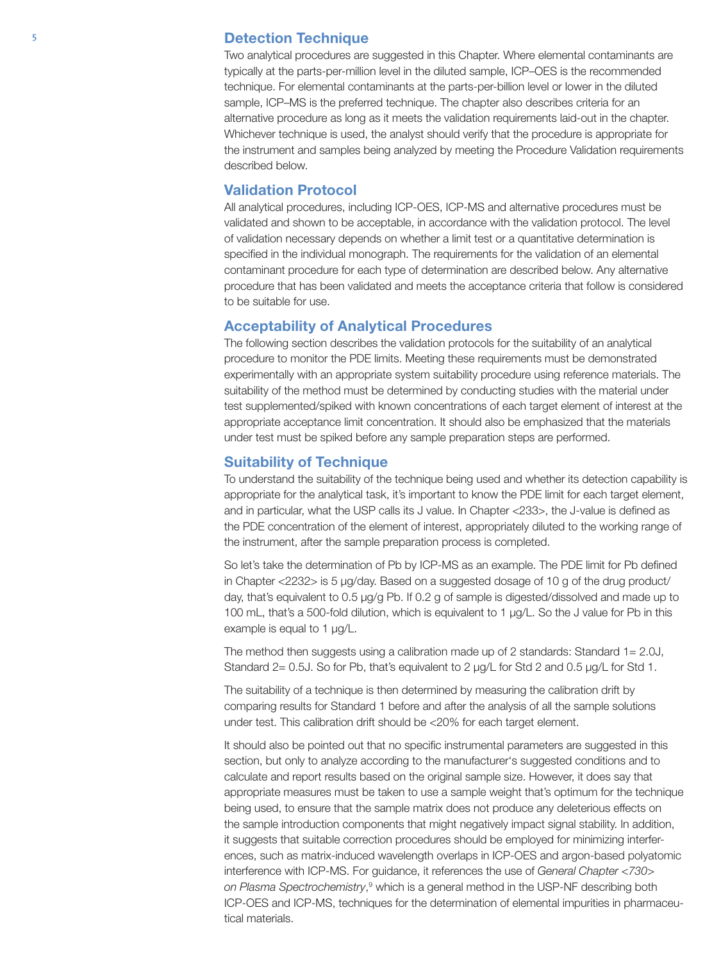## <sup>5</sup> Detection Technique

Two analytical procedures are suggested in this Chapter. Where elemental contaminants are typically at the parts-per-million level in the diluted sample, ICP–OES is the recommended technique. For elemental contaminants at the parts-per-billion level or lower in the diluted sample, ICP–MS is the preferred technique. The chapter also describes criteria for an alternative procedure as long as it meets the validation requirements laid-out in the chapter. Whichever technique is used, the analyst should verify that the procedure is appropriate for the instrument and samples being analyzed by meeting the Procedure Validation requirements described below.

# Validation Protocol

All analytical procedures, including ICP-OES, ICP-MS and alternative procedures must be validated and shown to be acceptable, in accordance with the validation protocol. The level of validation necessary depends on whether a limit test or a quantitative determination is specified in the individual monograph. The requirements for the validation of an elemental contaminant procedure for each type of determination are described below. Any alternative procedure that has been validated and meets the acceptance criteria that follow is considered to be suitable for use.

# Acceptability of Analytical Procedures

The following section describes the validation protocols for the suitability of an analytical procedure to monitor the PDE limits. Meeting these requirements must be demonstrated experimentally with an appropriate system suitability procedure using reference materials. The suitability of the method must be determined by conducting studies with the material under test supplemented/spiked with known concentrations of each target element of interest at the appropriate acceptance limit concentration. It should also be emphasized that the materials under test must be spiked before any sample preparation steps are performed.

# Suitability of Technique

To understand the suitability of the technique being used and whether its detection capability is appropriate for the analytical task, it's important to know the PDE limit for each target element, and in particular, what the USP calls its J value. In Chapter <233>, the J-value is defined as the PDE concentration of the element of interest, appropriately diluted to the working range of the instrument, after the sample preparation process is completed.

So let's take the determination of Pb by ICP-MS as an example. The PDE limit for Pb defined in Chapter <2232> is 5 µg/day. Based on a suggested dosage of 10 g of the drug product/ day, that's equivalent to 0.5 µg/g Pb. If 0.2 g of sample is digested/dissolved and made up to 100 mL, that's a 500-fold dilution, which is equivalent to 1 µg/L. So the J value for Pb in this example is equal to 1 µg/L.

The method then suggests using a calibration made up of 2 standards: Standard 1= 2.0J, Standard 2= 0.5J. So for Pb, that's equivalent to 2 µg/L for Std 2 and 0.5 µg/L for Std 1.

The suitability of a technique is then determined by measuring the calibration drift by comparing results for Standard 1 before and after the analysis of all the sample solutions under test. This calibration drift should be <20% for each target element.

It should also be pointed out that no specific instrumental parameters are suggested in this section, but only to analyze according to the manufacturer's suggested conditions and to calculate and report results based on the original sample size. However, it does say that appropriate measures must be taken to use a sample weight that's optimum for the technique being used, to ensure that the sample matrix does not produce any deleterious effects on the sample introduction components that might negatively impact signal stability. In addition, it suggests that suitable correction procedures should be employed for minimizing interferences, such as matrix-induced wavelength overlaps in ICP-OES and argon-based polyatomic interference with ICP-MS. For guidance, it references the use of *General Chapter <730>*  on Plasma Spectrochemistry,<sup>9</sup> which is a general method in the USP-NF describing both ICP-OES and ICP-MS, techniques for the determination of elemental impurities in pharmaceutical materials.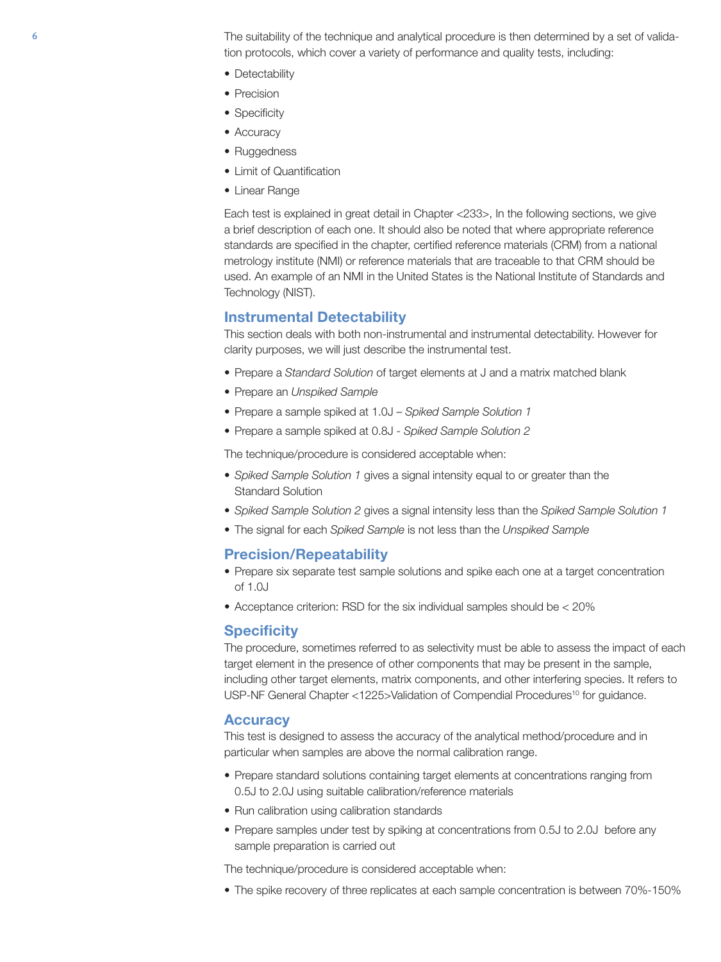6 The suitability of the technique and analytical procedure is then determined by a set of validation protocols, which cover a variety of performance and quality tests, including:

- Detectability
- Precision
- Specificity
- Accuracy
- Ruggedness
- Limit of Quantification
- Linear Range

Each test is explained in great detail in Chapter <233>, In the following sections, we give a brief description of each one. It should also be noted that where appropriate reference standards are specified in the chapter, certified reference materials (CRM) from a national metrology institute (NMI) or reference materials that are traceable to that CRM should be used. An example of an NMI in the United States is the National Institute of Standards and Technology (NIST).

#### Instrumental Detectability

This section deals with both non-instrumental and instrumental detectability. However for clarity purposes, we will just describe the instrumental test.

- Prepare a *Standard Solution* of target elements at J and a matrix matched blank
- Prepare an *Unspiked Sample*
- Prepare a sample spiked at 1.0J *Spiked Sample Solution 1*
- Prepare a sample spiked at 0.8J *Spiked Sample Solution 2*

The technique/procedure is considered acceptable when:

- *Spiked Sample Solution 1* gives a signal intensity equal to or greater than the Standard Solution
- *Spiked Sample Solution 2* gives a signal intensity less than the *Spiked Sample Solution 1*
- The signal for each *Spiked Sample* is not less than the *Unspiked Sample*

# Precision/Repeatability

- Prepare six separate test sample solutions and spike each one at a target concentration of 1.0J
- Acceptance criterion: RSD for the six individual samples should be < 20%

# **Specificity**

The procedure, sometimes referred to as selectivity must be able to assess the impact of each target element in the presence of other components that may be present in the sample, including other target elements, matrix components, and other interfering species. It refers to USP-NF General Chapter <1225>Validation of Compendial Procedures<sup>10</sup> for guidance.

# **Accuracy**

This test is designed to assess the accuracy of the analytical method/procedure and in particular when samples are above the normal calibration range.

- Prepare standard solutions containing target elements at concentrations ranging from 0.5J to 2.0J using suitable calibration/reference materials
- Run calibration using calibration standards
- Prepare samples under test by spiking at concentrations from 0.5J to 2.0J before any sample preparation is carried out

The technique/procedure is considered acceptable when:

• The spike recovery of three replicates at each sample concentration is between 70%-150%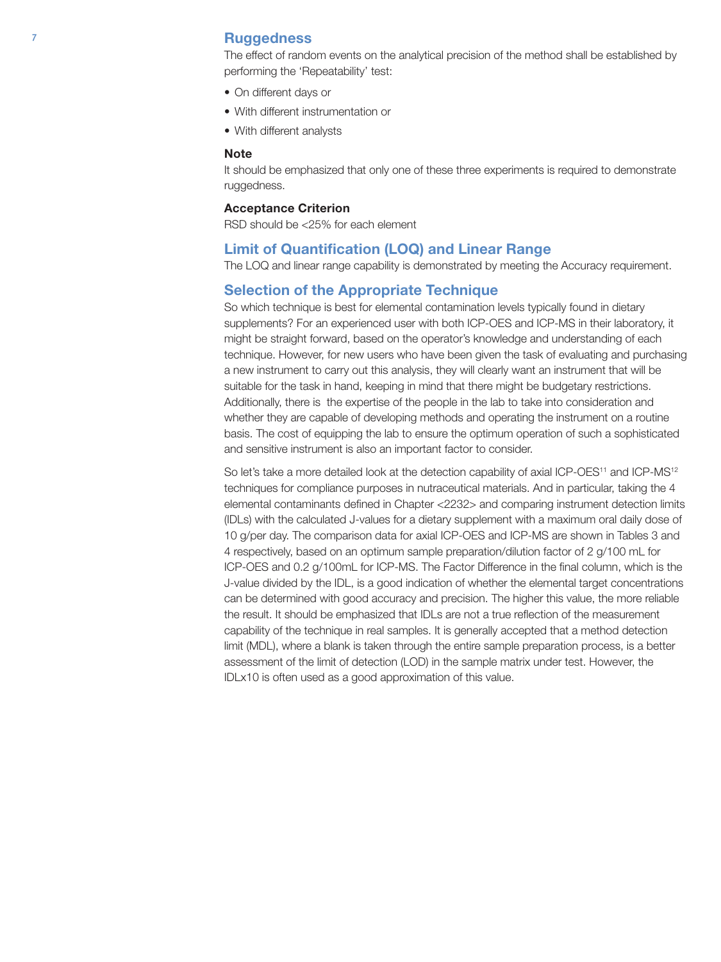### **7 Ruggedness**

The effect of random events on the analytical precision of the method shall be established by performing the 'Repeatability' test:

- On different days or
- With different instrumentation or
- With different analysts

#### Note

It should be emphasized that only one of these three experiments is required to demonstrate ruggedness.

#### Acceptance Criterion

RSD should be <25% for each element

## Limit of Quantification (LOQ) and Linear Range

The LOQ and linear range capability is demonstrated by meeting the Accuracy requirement.

# Selection of the Appropriate Technique

So which technique is best for elemental contamination levels typically found in dietary supplements? For an experienced user with both ICP-OES and ICP-MS in their laboratory, it might be straight forward, based on the operator's knowledge and understanding of each technique. However, for new users who have been given the task of evaluating and purchasing a new instrument to carry out this analysis, they will clearly want an instrument that will be suitable for the task in hand, keeping in mind that there might be budgetary restrictions. Additionally, there is the expertise of the people in the lab to take into consideration and whether they are capable of developing methods and operating the instrument on a routine basis. The cost of equipping the lab to ensure the optimum operation of such a sophisticated and sensitive instrument is also an important factor to consider.

So let's take a more detailed look at the detection capability of axial ICP-OES<sup>11</sup> and ICP-MS<sup>12</sup> techniques for compliance purposes in nutraceutical materials. And in particular, taking the 4 elemental contaminants defined in Chapter <2232> and comparing instrument detection limits (IDLs) with the calculated J-values for a dietary supplement with a maximum oral daily dose of 10 g/per day. The comparison data for axial ICP-OES and ICP-MS are shown in Tables 3 and 4 respectively, based on an optimum sample preparation/dilution factor of 2 g/100 mL for ICP-OES and 0.2 g/100mL for ICP-MS. The Factor Difference in the final column, which is the J-value divided by the IDL, is a good indication of whether the elemental target concentrations can be determined with good accuracy and precision. The higher this value, the more reliable the result. It should be emphasized that IDLs are not a true reflection of the measurement capability of the technique in real samples. It is generally accepted that a method detection limit (MDL), where a blank is taken through the entire sample preparation process, is a better assessment of the limit of detection (LOD) in the sample matrix under test. However, the IDLx10 is often used as a good approximation of this value.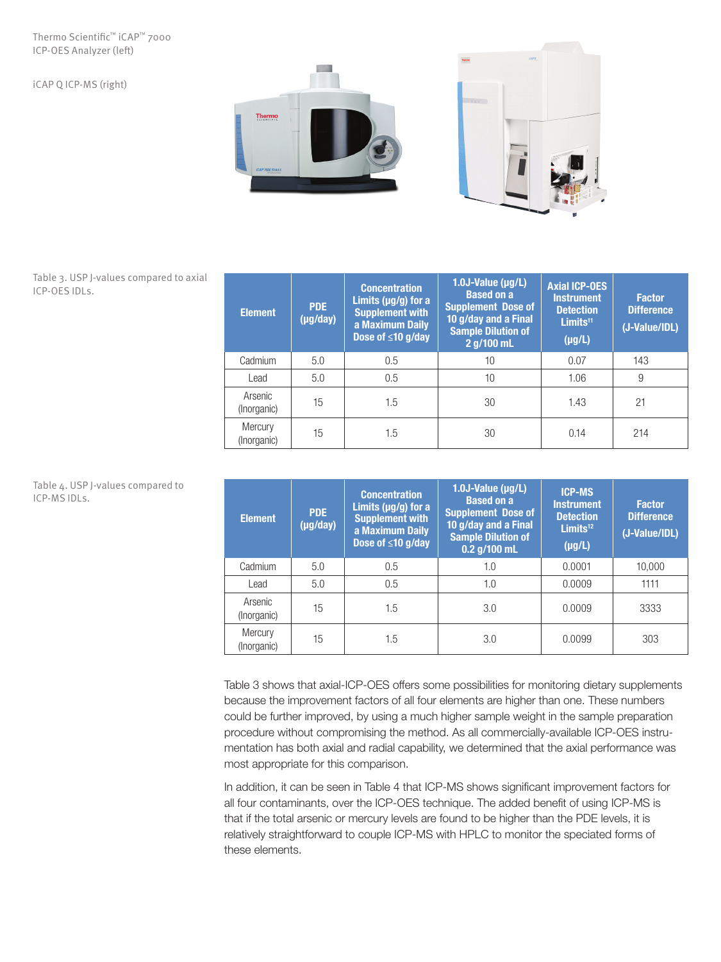#### Thermo Scientific™ iCAP™ 7000 ICP-OES Analyzer (left)

iCAP Q ICP-MS (right)





Table 3. USP J-values compared to axial ICP-OES IDLs.

| <b>Element</b>         | <b>PDE</b><br>$(\mu g / day)$ | <b>Concentration</b><br>Limits ( $\mu$ g/g) for a<br><b>Supplement with</b><br>a Maximum Daily<br>Dose of $\leq 10$ g/day | $1.0J-Value (µg/L)$<br><b>Based on a</b><br><b>Supplement Dose of</b><br>10 g/day and a Final<br><b>Sample Dilution of</b><br>2 g/100 mL | <b>Axial ICP-OES</b><br><b>Instrument</b><br><b>Detection</b><br>Limits <sup>11</sup><br>$(\mu g/L)$ | <b>Factor</b><br><b>Difference</b><br>(J-Value/IDL) |
|------------------------|-------------------------------|---------------------------------------------------------------------------------------------------------------------------|------------------------------------------------------------------------------------------------------------------------------------------|------------------------------------------------------------------------------------------------------|-----------------------------------------------------|
| Cadmium                | 5.0                           | 0.5                                                                                                                       | 10                                                                                                                                       | 0.07                                                                                                 | 143                                                 |
| Lead                   | 5.0                           | 0.5                                                                                                                       | 10                                                                                                                                       | 1.06                                                                                                 | 9                                                   |
| Arsenic<br>(Inorganic) | 15                            | 1.5                                                                                                                       | 30                                                                                                                                       | 1.43                                                                                                 | 21                                                  |
| Mercury<br>(Inorganic) | 15                            | 1.5                                                                                                                       | 30                                                                                                                                       | 0.14                                                                                                 | 214                                                 |

| Table 4. USP J-values compared to |  |
|-----------------------------------|--|
| ICP-MS IDLs.                      |  |

| <b>Element</b>         | <b>PDE</b><br>$(\mu g /day)$ | <b>Concentration</b><br>Limits ( $\mu$ g/g) for a<br><b>Supplement with</b><br>a Maximum Daily<br>Dose of $\leq 10$ g/day | 1.0J-Value (µg/L)<br><b>Based on a</b><br><b>Supplement Dose of</b><br>10 g/day and a Final<br><b>Sample Dilution of</b><br>$0.2$ g/100 mL | <b>ICP-MS</b><br><b>Instrument</b><br><b>Detection</b><br>Limits <sup>12</sup><br>$(\mu g/L)$ | <b>Factor</b><br><b>Difference</b><br>(J-Value/IDL) |
|------------------------|------------------------------|---------------------------------------------------------------------------------------------------------------------------|--------------------------------------------------------------------------------------------------------------------------------------------|-----------------------------------------------------------------------------------------------|-----------------------------------------------------|
| Cadmium                | 5.0                          | 0.5                                                                                                                       | 1.0                                                                                                                                        | 0.0001                                                                                        | 10,000                                              |
| Lead                   | 5.0                          | 0.5                                                                                                                       | 1.0                                                                                                                                        | 0.0009                                                                                        | 1111                                                |
| Arsenic<br>(Inorganic) | 15                           | 1.5                                                                                                                       | 3.0                                                                                                                                        | 0.0009                                                                                        | 3333                                                |
| Mercury<br>(Inorganic) | 15                           | 1.5                                                                                                                       | 3.0                                                                                                                                        | 0.0099                                                                                        | 303                                                 |

Table 3 shows that axial-ICP-OES offers some possibilities for monitoring dietary supplements because the improvement factors of all four elements are higher than one. These numbers could be further improved, by using a much higher sample weight in the sample preparation procedure without compromising the method. As all commercially-available ICP-OES instrumentation has both axial and radial capability, we determined that the axial performance was most appropriate for this comparison.

In addition, it can be seen in Table 4 that ICP-MS shows significant improvement factors for all four contaminants, over the ICP-OES technique. The added benefit of using ICP-MS is that if the total arsenic or mercury levels are found to be higher than the PDE levels, it is relatively straightforward to couple ICP-MS with HPLC to monitor the speciated forms of these elements.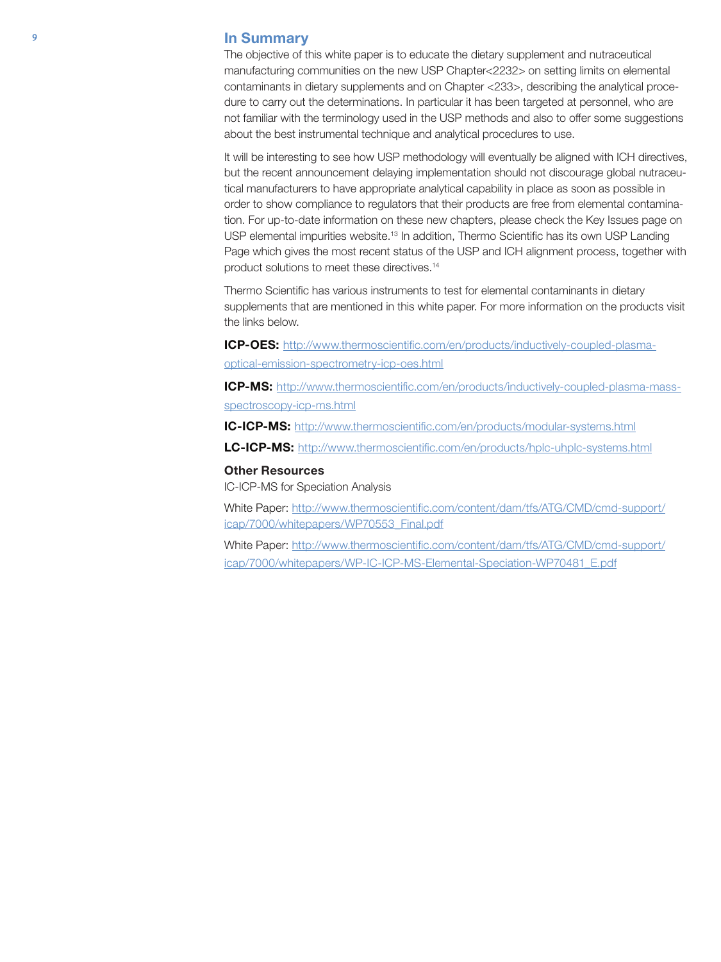#### **9** In Summary

The objective of this white paper is to educate the dietary supplement and nutraceutical manufacturing communities on the new USP Chapter<2232> on setting limits on elemental contaminants in dietary supplements and on Chapter <233>, describing the analytical procedure to carry out the determinations. In particular it has been targeted at personnel, who are not familiar with the terminology used in the USP methods and also to offer some suggestions about the best instrumental technique and analytical procedures to use.

It will be interesting to see how USP methodology will eventually be aligned with ICH directives, but the recent announcement delaying implementation should not discourage global nutraceutical manufacturers to have appropriate analytical capability in place as soon as possible in order to show compliance to regulators that their products are free from elemental contamination. For up-to-date information on these new chapters, please check the Key Issues page on USP elemental impurities website.13 In addition, Thermo Scientific has its own USP Landing Page which gives the most recent status of the USP and ICH alignment process, together with product solutions to meet these directives.14

Thermo Scientific has various instruments to test for elemental contaminants in dietary supplements that are mentioned in this white paper. For more information on the products visit the links below.

ICP-OES: http://www.thermoscientific.com/en/products/inductively-coupled-plasmaoptical-emission-spectrometry-icp-oes.html

ICP-MS: http://www.thermoscientific.com/en/products/inductively-coupled-plasma-massspectroscopy-icp-ms.html

IC-ICP-MS: http://www.thermoscientific.com/en/products/modular-systems.html

LC-ICP-MS: http://www.thermoscientific.com/en/products/hplc-uhplc-systems.html

#### Other Resources

IC-ICP-MS for Speciation Analysis

White Paper: http://www.thermoscientific.com/content/dam/tfs/ATG/CMD/cmd-support/ icap/7000/whitepapers/WP70553\_Final.pdf

White Paper: http://www.thermoscientific.com/content/dam/tfs/ATG/CMD/cmd-support/ icap/7000/whitepapers/WP-IC-ICP-MS-Elemental-Speciation-WP70481\_E.pdf